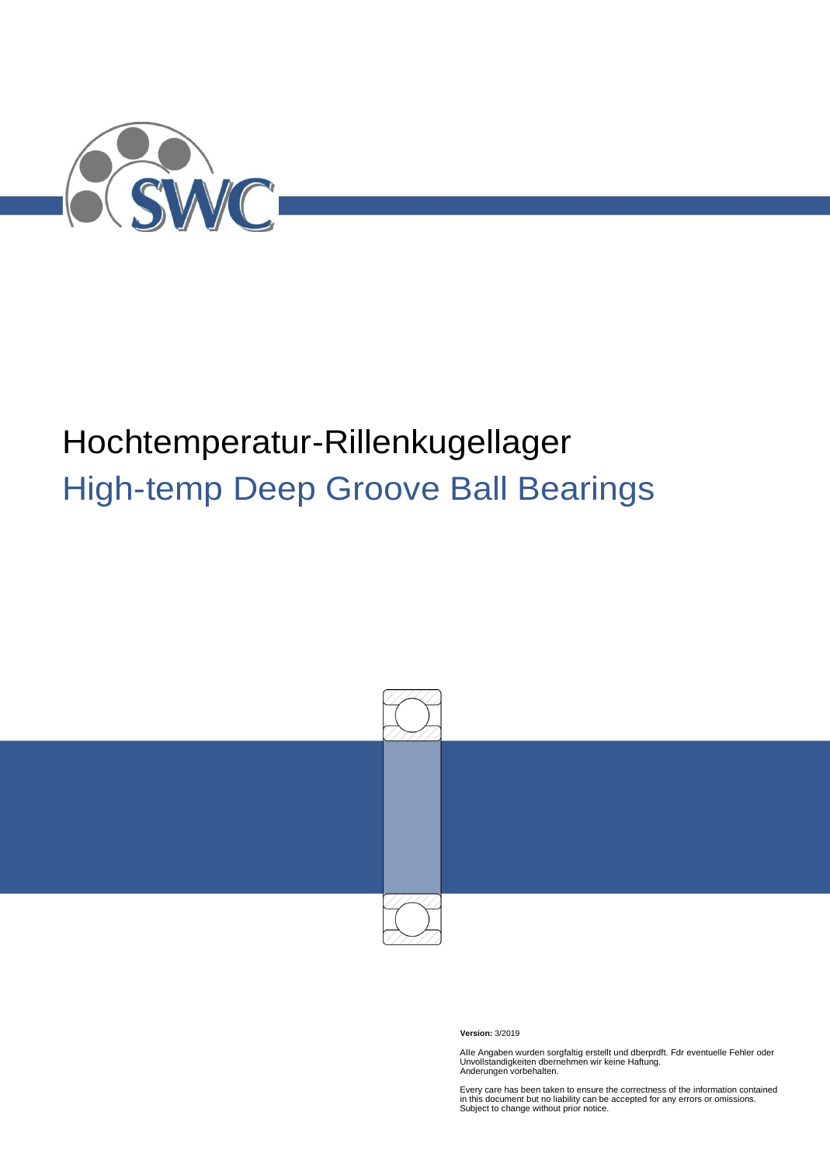

# Hochtemperatur-Rillenkugellager High-temp Deep Groove Ball Bearings



**Version:** 3/2019

AIIe Angaben wurden sorgfaltig erstellt und dberprdft. Fdr eventuelle Fehler oder Unvollstandigkeiten dbernehmen wir keine Haftung. Anderungen vorbehalten.

Every care has been taken to ensure the correctness of the information contained in this document but no liability can be accepted for any errors or omissions. Subject to change without prior notice.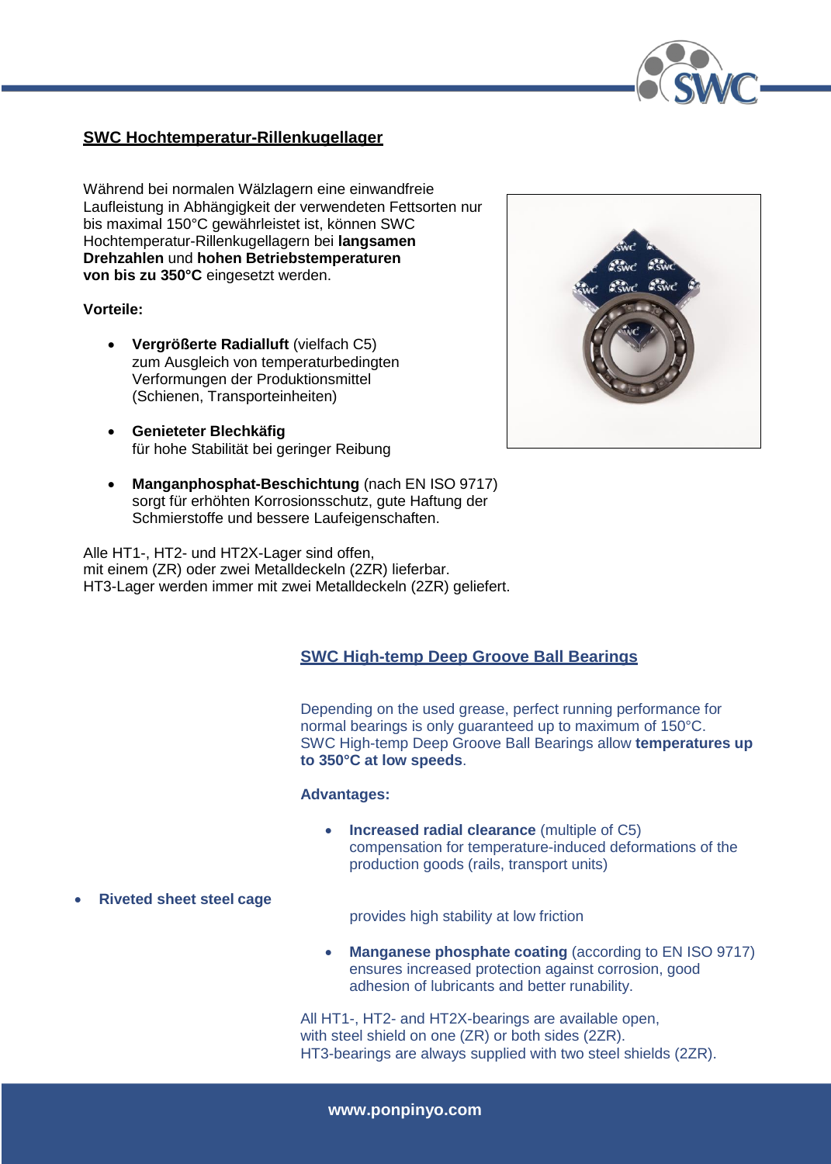

## **SWC Hochtemperatur-Rillenkugellager**

Während bei normalen Wälzlagern eine einwandfreie Laufleistung in Abhängigkeit der verwendeten Fettsorten nur bis maximal 150°C gewährleistet ist, können SWC Hochtemperatur-Rillenkugellagern bei **langsamen Drehzahlen** und **hohen Betriebstemperaturen von bis zu 350°C** eingesetzt werden.

### **Vorteile:**

- **Vergrößerte Radialluft** (vielfach C5) zum Ausgleich von temperaturbedingten Verformungen der Produktionsmittel (Schienen, Transporteinheiten)
- **Genieteter Blechkäfig** für hohe Stabilität bei geringer Reibung
- **Manganphosphat-Beschichtung** (nach EN ISO 9717) sorgt für erhöhten Korrosionsschutz, gute Haftung der Schmierstoffe und bessere Laufeigenschaften.

Alle HT1-, HT2- und HT2X-Lager sind offen, mit einem (ZR) oder zwei Metalldeckeln (2ZR) lieferbar. HT3-Lager werden immer mit zwei Metalldeckeln (2ZR) geliefert.

## **SWC High-temp Deep Groove Ball Bearings**

Depending on the used grease, perfect running performance for normal bearings is only guaranteed up to maximum of 150°C. SWC High-temp Deep Groove Ball Bearings allow **temperatures up to 350°C at low speeds**.

#### **Advantages:**

- **Increased radial clearance** (multiple of C5) compensation for temperature-induced deformations of the production goods (rails, transport units)
- **Riveted sheet steel cage**

provides high stability at low friction

• Manganese phosphate coating (according to EN ISO 9717) ensures increased protection against corrosion, good adhesion of lubricants and better runability.

All HT1-, HT2- and HT2X-bearings are available open, with steel shield on one (ZR) or both sides (2ZR). HT3-bearings are always supplied with two steel shields (2ZR).

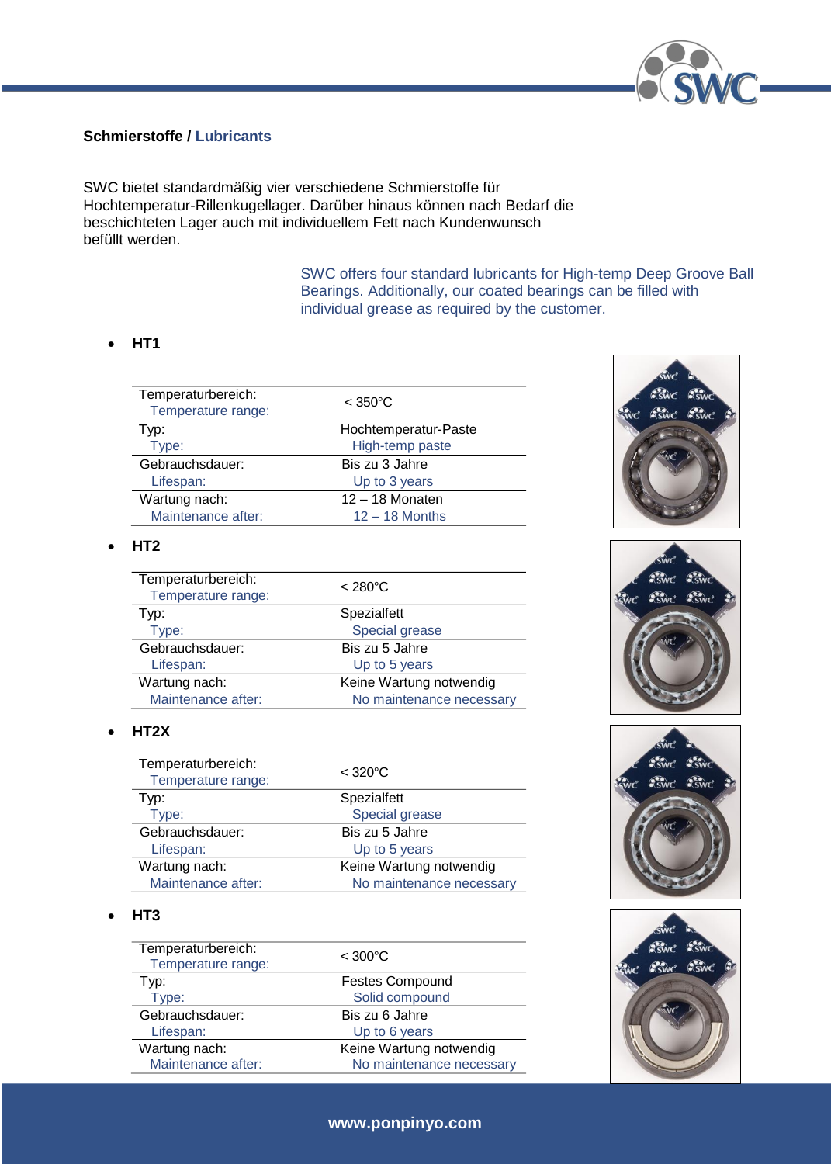

## **Schmierstoffe / Lubricants**

SWC bietet standardmäßig vier verschiedene Schmierstoffe für Hochtemperatur-Rillenkugellager. Darüber hinaus können nach Bedarf die beschichteten Lager auch mit individuellem Fett nach Kundenwunsch befüllt werden.

> SWC offers four standard lubricants for High-temp Deep Groove Ball Bearings. Additionally, our coated bearings can be filled with individual grease as required by the customer.

## **HT1**

| Temperaturbereich:<br>Temperature range: | $<$ 350 $^{\circ}$ C |  |  |  |  |
|------------------------------------------|----------------------|--|--|--|--|
| Typ:                                     | Hochtemperatur-Paste |  |  |  |  |
| Type:                                    | High-temp paste      |  |  |  |  |
| Gebrauchsdauer:                          | Bis zu 3 Jahre       |  |  |  |  |
| Lifespan:                                | Up to 3 years        |  |  |  |  |
| Wartung nach:                            | $12 - 18$ Monaten    |  |  |  |  |
| Maintenance after:                       | $12 - 18$ Months     |  |  |  |  |
|                                          |                      |  |  |  |  |

#### **HT2**

| Temperaturbereich:<br>Temperature range: | $< 280^{\circ}$ C        |
|------------------------------------------|--------------------------|
| Typ:                                     | Spezialfett              |
| Type:                                    | Special grease           |
| Gebrauchsdauer:                          | Bis zu 5 Jahre           |
| Lifespan:                                | Up to 5 years            |
| Wartung nach:                            | Keine Wartung notwendig  |
| Maintenance after:                       | No maintenance necessary |

### **HT2X**

| Temperaturbereich:<br>Temperature range: | $<$ 320 $^{\circ}$ C     |
|------------------------------------------|--------------------------|
| Typ:                                     | Spezialfett              |
| Type:                                    | Special grease           |
| Gebrauchsdauer:                          | Bis zu 5 Jahre           |
| Lifespan:                                | Up to 5 years            |
| Wartung nach:                            | Keine Wartung notwendig  |
| Maintenance after:                       | No maintenance necessary |

#### **HT3**

| Temperaturbereich:<br>Temperature range: | $< 300^{\circ}$ C        |
|------------------------------------------|--------------------------|
| Typ:                                     | <b>Festes Compound</b>   |
| Type:                                    | Solid compound           |
| Gebrauchsdauer:                          | Bis zu 6 Jahre           |
| Lifespan:                                | Up to 6 years            |
| Wartung nach:                            | Keine Wartung notwendig  |
| Maintenance after:                       | No maintenance necessary |









## **[www.ponpinyo.com](http://www.swc-bearings.com/)**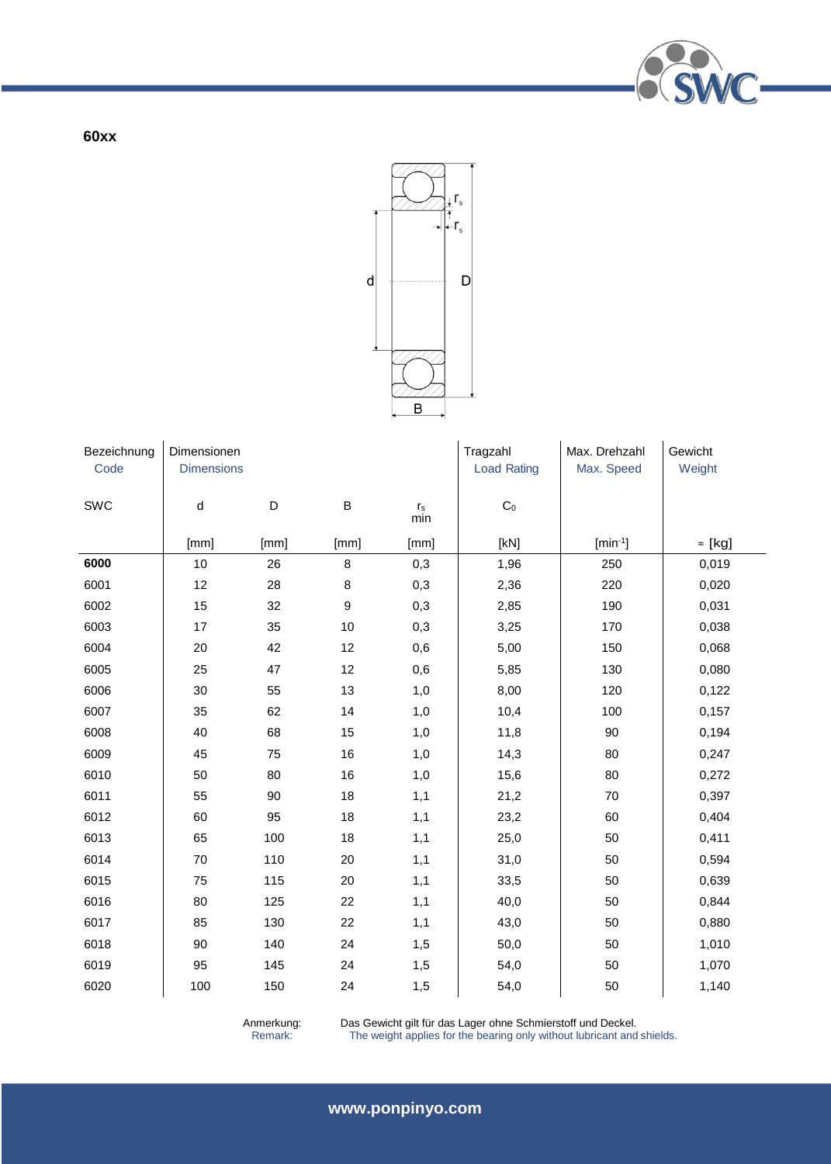

**60xx**



| Bezeichnung | Dimensionen       |             |                  |                                | Tragzahl           | Max. Drehzahl | Gewicht        |
|-------------|-------------------|-------------|------------------|--------------------------------|--------------------|---------------|----------------|
| Code        | <b>Dimensions</b> |             |                  |                                | <b>Load Rating</b> | Max. Speed    | Weight         |
| SWC         | ${\sf d}$         | $\mathsf D$ | $\sf B$          | $\mathsf{r}_\mathsf{s}$<br>min | $\mathrm{C}_0$     |               |                |
|             | [mm]              | [mm]        | [mm]             | [mm]                           | [KN]               | $[min^{-1}]$  | $\approx$ [kg] |
| 6000        | 10                | 26          | $\bf 8$          | 0,3                            | 1,96               | 250           | 0,019          |
| 6001        | 12                | 28          | $\bf 8$          | 0,3                            | 2,36               | 220           | 0,020          |
| 6002        | 15                | 32          | $\boldsymbol{9}$ | 0,3                            | 2,85               | 190           | 0,031          |
| 6003        | 17                | 35          | 10               | 0,3                            | 3,25               | 170           | 0,038          |
| 6004        | 20                | 42          | 12               | 0,6                            | 5,00               | 150           | 0,068          |
| 6005        | 25                | 47          | 12               | 0,6                            | 5,85               | 130           | 0,080          |
| 6006        | 30                | 55          | 13               | 1,0                            | 8,00               | 120           | 0,122          |
| 6007        | 35                | 62          | 14               | 1,0                            | 10,4               | 100           | 0,157          |
| 6008        | 40                | 68          | 15               | 1,0                            | 11,8               | 90            | 0,194          |
| 6009        | 45                | 75          | 16               | 1,0                            | 14,3               | 80            | 0,247          |
| 6010        | 50                | 80          | 16               | 1,0                            | 15,6               | 80            | 0,272          |
| 6011        | 55                | 90          | 18               | 1,1                            | 21,2               | $70\,$        | 0,397          |
| 6012        | 60                | 95          | 18               | 1,1                            | 23,2               | 60            | 0,404          |
| 6013        | 65                | 100         | 18               | 1,1                            | 25,0               | 50            | 0,411          |
| 6014        | 70                | 110         | 20               | 1,1                            | 31,0               | 50            | 0,594          |
| 6015        | 75                | 115         | 20               | 1,1                            | 33,5               | 50            | 0,639          |
| 6016        | 80                | 125         | 22               | 1,1                            | 40,0               | 50            | 0,844          |
| 6017        | 85                | 130         | 22               | 1,1                            | 43,0               | 50            | 0,880          |
| 6018        | 90                | 140         | 24               | 1,5                            | 50,0               | 50            | 1,010          |
| 6019        | 95                | 145         | 24               | 1,5                            | 54,0               | 50            | 1,070          |
| 6020        | 100               | 150         | 24               | 1,5                            | 54,0               | 50            | 1,140          |

Anmerkung: Das Gewicht gilt für das Lager ohne Schmierstoff und Deckel.

Remark: The weight applies for the bearing only without lubricant and shields.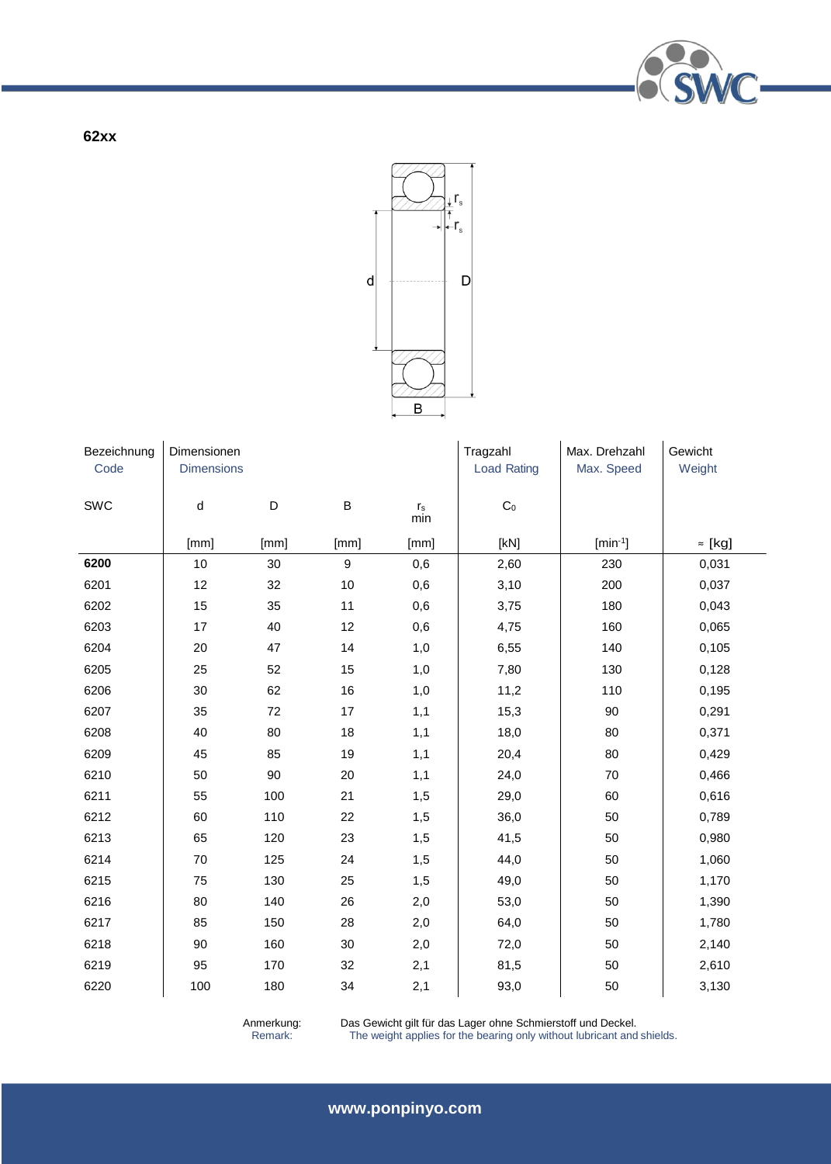

**62xx**



| Bezeichnung | Dimensionen       |      |         |                                | Tragzahl           | Max. Drehzahl | Gewicht        |
|-------------|-------------------|------|---------|--------------------------------|--------------------|---------------|----------------|
| Code        | <b>Dimensions</b> |      |         |                                | <b>Load Rating</b> | Max. Speed    | Weight         |
| SWC         | d                 | D    | $\sf B$ | $\mathsf{r}_\mathsf{s}$<br>min | $\mathsf{C}_0$     |               |                |
|             | [mm]              | [mm] | [mm]    | [mm]                           | [KN]               | $[min^{-1}]$  | $\approx$ [kg] |
| 6200        | 10                | 30   | 9       | 0,6                            | 2,60               | 230           | 0,031          |
| 6201        | 12                | 32   | $10$    | 0,6                            | 3,10               | 200           | 0,037          |
| 6202        | 15                | 35   | 11      | 0,6                            | 3,75               | 180           | 0,043          |
| 6203        | 17                | 40   | 12      | 0,6                            | 4,75               | 160           | 0,065          |
| 6204        | 20                | 47   | 14      | 1,0                            | 6,55               | 140           | 0,105          |
| 6205        | 25                | 52   | 15      | 1,0                            | 7,80               | 130           | 0,128          |
| 6206        | 30                | 62   | 16      | 1,0                            | 11,2               | 110           | 0,195          |
| 6207        | 35                | 72   | 17      | 1,1                            | 15,3               | 90            | 0,291          |
| 6208        | 40                | 80   | 18      | 1,1                            | 18,0               | 80            | 0,371          |
| 6209        | 45                | 85   | 19      | 1,1                            | 20,4               | 80            | 0,429          |
| 6210        | 50                | 90   | 20      | 1,1                            | 24,0               | 70            | 0,466          |
| 6211        | 55                | 100  | 21      | 1,5                            | 29,0               | 60            | 0,616          |
| 6212        | 60                | 110  | 22      | 1,5                            | 36,0               | 50            | 0,789          |
| 6213        | 65                | 120  | 23      | 1,5                            | 41,5               | 50            | 0,980          |
| 6214        | 70                | 125  | 24      | 1,5                            | 44,0               | 50            | 1,060          |
| 6215        | 75                | 130  | 25      | 1,5                            | 49,0               | 50            | 1,170          |
| 6216        | 80                | 140  | 26      | 2,0                            | 53,0               | 50            | 1,390          |
| 6217        | 85                | 150  | 28      | 2,0                            | 64,0               | 50            | 1,780          |
| 6218        | 90                | 160  | 30      | 2,0                            | 72,0               | 50            | 2,140          |
| 6219        | 95                | 170  | 32      | 2,1                            | 81,5               | 50            | 2,610          |
| 6220        | 100               | 180  | 34      | 2,1                            | 93,0               | 50            | 3,130          |

Anmerkung: Das Gewicht gilt für das Lager ohne Schmierstoff und Deckel.

Remark: The weight applies for the bearing only without lubricant and shields.